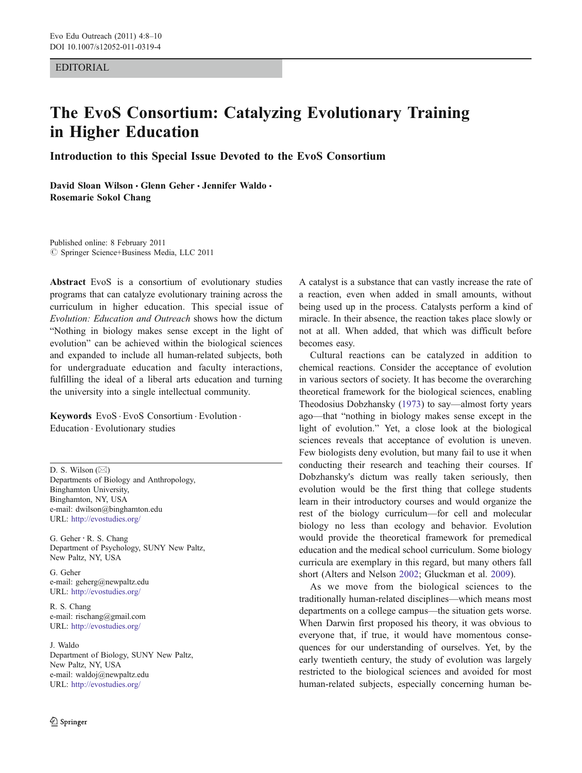## EDITORIAL

## The EvoS Consortium: Catalyzing Evolutionary Training in Higher Education

Introduction to this Special Issue Devoted to the EvoS Consortium

David Sloan Wilson . Glenn Geher . Jennifer Waldo . Rosemarie Sokol Chang

Published online: 8 February 2011  $\circ$  Springer Science+Business Media, LLC 2011

Abstract EvoS is a consortium of evolutionary studies programs that can catalyze evolutionary training across the curriculum in higher education. This special issue of Evolution: Education and Outreach shows how the dictum "Nothing in biology makes sense except in the light of evolution" can be achieved within the biological sciences and expanded to include all human-related subjects, both for undergraduate education and faculty interactions, fulfilling the ideal of a liberal arts education and turning the university into a single intellectual community.

Keywords EvoS . EvoS Consortium . Evolution . Education . Evolutionary studies

D. S. Wilson  $(\boxtimes)$ Departments of Biology and Anthropology, Binghamton University, Binghamton, NY, USA e-mail: dwilson@binghamton.edu URL: http://evostudies.org/

G. Geher : R. S. Chang Department of Psychology, SUNY New Paltz, New Paltz, NY, USA

G. Geher e-mail: geherg@newpaltz.edu URL: http://evostudies.org/

R. S. Chang e-mail: rischang@gmail.com URL: http://evostudies.org/

J. Waldo Department of Biology, SUNY New Paltz, New Paltz, NY, USA e-mail: waldoj@newpaltz.edu URL: http://evostudies.org/

A catalyst is a substance that can vastly increase the rate of a reaction, even when added in small amounts, without being used up in the process. Catalysts perform a kind of miracle. In their absence, the reaction takes place slowly or not at all. When added, that which was difficult before becomes easy.

Cultural reactions can be catalyzed in addition to chemical reactions. Consider the acceptance of evolution in various sectors of society. It has become the overarching theoretical framework for the biological sciences, enabling Theodosius Dobzhansky [\(1973](#page-2-0)) to say—almost forty years ago—that "nothing in biology makes sense except in the light of evolution." Yet, a close look at the biological sciences reveals that acceptance of evolution is uneven. Few biologists deny evolution, but many fail to use it when conducting their research and teaching their courses. If Dobzhansky's dictum was really taken seriously, then evolution would be the first thing that college students learn in their introductory courses and would organize the rest of the biology curriculum—for cell and molecular biology no less than ecology and behavior. Evolution would provide the theoretical framework for premedical education and the medical school curriculum. Some biology curricula are exemplary in this regard, but many others fall short (Alters and Nelson [2002;](#page-2-0) Gluckman et al. [2009](#page-2-0)).

As we move from the biological sciences to the traditionally human-related disciplines—which means most departments on a college campus—the situation gets worse. When Darwin first proposed his theory, it was obvious to everyone that, if true, it would have momentous consequences for our understanding of ourselves. Yet, by the early twentieth century, the study of evolution was largely restricted to the biological sciences and avoided for most human-related subjects, especially concerning human be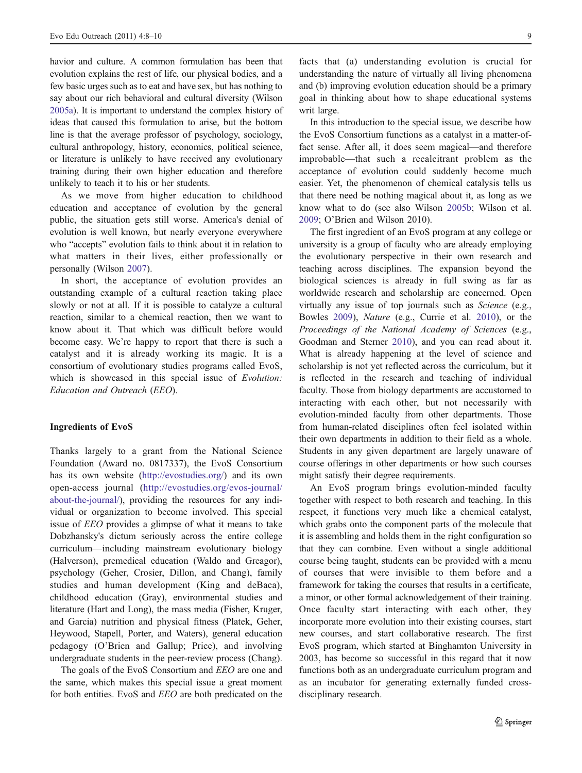havior and culture. A common formulation has been that evolution explains the rest of life, our physical bodies, and a few basic urges such as to eat and have sex, but has nothing to say about our rich behavioral and cultural diversity (Wilson [2005a\)](#page-2-0). It is important to understand the complex history of ideas that caused this formulation to arise, but the bottom line is that the average professor of psychology, sociology, cultural anthropology, history, economics, political science, or literature is unlikely to have received any evolutionary training during their own higher education and therefore unlikely to teach it to his or her students.

As we move from higher education to childhood education and acceptance of evolution by the general public, the situation gets still worse. America's denial of evolution is well known, but nearly everyone everywhere who "accepts" evolution fails to think about it in relation to what matters in their lives, either professionally or personally (Wilson [2007](#page-2-0)).

In short, the acceptance of evolution provides an outstanding example of a cultural reaction taking place slowly or not at all. If it is possible to catalyze a cultural reaction, similar to a chemical reaction, then we want to know about it. That which was difficult before would become easy. We're happy to report that there is such a catalyst and it is already working its magic. It is a consortium of evolutionary studies programs called EvoS, which is showcased in this special issue of Evolution: Education and Outreach (EEO).

## Ingredients of EvoS

Thanks largely to a grant from the National Science Foundation (Award no. 0817337), the EvoS Consortium has its own website [\(http://evostudies.org/](http://evostudies.org/)) and its own open-access journal ([http://evostudies.org/evos-journal/](http://evostudies.org/evos-journal/about-the-journal/) [about-the-journal/](http://evostudies.org/evos-journal/about-the-journal/)), providing the resources for any individual or organization to become involved. This special issue of EEO provides a glimpse of what it means to take Dobzhansky's dictum seriously across the entire college curriculum—including mainstream evolutionary biology (Halverson), premedical education (Waldo and Greagor), psychology (Geher, Crosier, Dillon, and Chang), family studies and human development (King and deBaca), childhood education (Gray), environmental studies and literature (Hart and Long), the mass media (Fisher, Kruger, and Garcia) nutrition and physical fitness (Platek, Geher, Heywood, Stapell, Porter, and Waters), general education pedagogy (O'Brien and Gallup; Price), and involving undergraduate students in the peer-review process (Chang).

The goals of the EvoS Consortium and *EEO* are one and the same, which makes this special issue a great moment for both entities. EvoS and *EEO* are both predicated on the

facts that (a) understanding evolution is crucial for understanding the nature of virtually all living phenomena and (b) improving evolution education should be a primary goal in thinking about how to shape educational systems writ large.

In this introduction to the special issue, we describe how the EvoS Consortium functions as a catalyst in a matter-offact sense. After all, it does seem magical—and therefore improbable—that such a recalcitrant problem as the acceptance of evolution could suddenly become much easier. Yet, the phenomenon of chemical catalysis tells us that there need be nothing magical about it, as long as we know what to do (see also Wilson [2005b;](#page-2-0) Wilson et al. [2009](#page-2-0); O'Brien and Wilson 2010).

The first ingredient of an EvoS program at any college or university is a group of faculty who are already employing the evolutionary perspective in their own research and teaching across disciplines. The expansion beyond the biological sciences is already in full swing as far as worldwide research and scholarship are concerned. Open virtually any issue of top journals such as Science (e.g., Bowles [2009](#page-2-0)), Nature (e.g., Currie et al. [2010\)](#page-2-0), or the Proceedings of the National Academy of Sciences (e.g., Goodman and Sterner [2010\)](#page-2-0), and you can read about it. What is already happening at the level of science and scholarship is not yet reflected across the curriculum, but it is reflected in the research and teaching of individual faculty. Those from biology departments are accustomed to interacting with each other, but not necessarily with evolution-minded faculty from other departments. Those from human-related disciplines often feel isolated within their own departments in addition to their field as a whole. Students in any given department are largely unaware of course offerings in other departments or how such courses might satisfy their degree requirements.

An EvoS program brings evolution-minded faculty together with respect to both research and teaching. In this respect, it functions very much like a chemical catalyst, which grabs onto the component parts of the molecule that it is assembling and holds them in the right configuration so that they can combine. Even without a single additional course being taught, students can be provided with a menu of courses that were invisible to them before and a framework for taking the courses that results in a certificate, a minor, or other formal acknowledgement of their training. Once faculty start interacting with each other, they incorporate more evolution into their existing courses, start new courses, and start collaborative research. The first EvoS program, which started at Binghamton University in 2003, has become so successful in this regard that it now functions both as an undergraduate curriculum program and as an incubator for generating externally funded crossdisciplinary research.